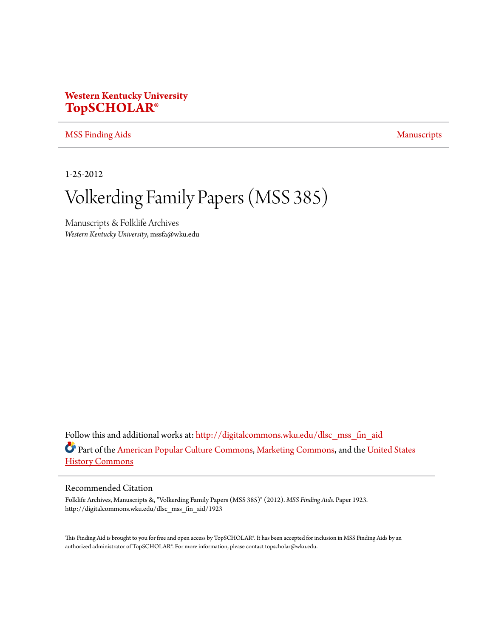# **Western Kentucky University [TopSCHOLAR®](http://digitalcommons.wku.edu?utm_source=digitalcommons.wku.edu%2Fdlsc_mss_fin_aid%2F1923&utm_medium=PDF&utm_campaign=PDFCoverPages)**

#### [MSS Finding Aids](http://digitalcommons.wku.edu/dlsc_mss_fin_aid?utm_source=digitalcommons.wku.edu%2Fdlsc_mss_fin_aid%2F1923&utm_medium=PDF&utm_campaign=PDFCoverPages) [Manuscripts](http://digitalcommons.wku.edu/dlsc_mss?utm_source=digitalcommons.wku.edu%2Fdlsc_mss_fin_aid%2F1923&utm_medium=PDF&utm_campaign=PDFCoverPages) Manuscripts

1-25-2012

# Volkerding Family Papers (MSS 385)

Manuscripts & Folklife Archives *Western Kentucky University*, mssfa@wku.edu

Follow this and additional works at: [http://digitalcommons.wku.edu/dlsc\\_mss\\_fin\\_aid](http://digitalcommons.wku.edu/dlsc_mss_fin_aid?utm_source=digitalcommons.wku.edu%2Fdlsc_mss_fin_aid%2F1923&utm_medium=PDF&utm_campaign=PDFCoverPages) Part of the [American Popular Culture Commons](http://network.bepress.com/hgg/discipline/443?utm_source=digitalcommons.wku.edu%2Fdlsc_mss_fin_aid%2F1923&utm_medium=PDF&utm_campaign=PDFCoverPages), [Marketing Commons,](http://network.bepress.com/hgg/discipline/638?utm_source=digitalcommons.wku.edu%2Fdlsc_mss_fin_aid%2F1923&utm_medium=PDF&utm_campaign=PDFCoverPages) and the [United States](http://network.bepress.com/hgg/discipline/495?utm_source=digitalcommons.wku.edu%2Fdlsc_mss_fin_aid%2F1923&utm_medium=PDF&utm_campaign=PDFCoverPages) [History Commons](http://network.bepress.com/hgg/discipline/495?utm_source=digitalcommons.wku.edu%2Fdlsc_mss_fin_aid%2F1923&utm_medium=PDF&utm_campaign=PDFCoverPages)

#### Recommended Citation

Folklife Archives, Manuscripts &, "Volkerding Family Papers (MSS 385)" (2012). *MSS Finding Aids.* Paper 1923. http://digitalcommons.wku.edu/dlsc\_mss\_fin\_aid/1923

This Finding Aid is brought to you for free and open access by TopSCHOLAR®. It has been accepted for inclusion in MSS Finding Aids by an authorized administrator of TopSCHOLAR®. For more information, please contact topscholar@wku.edu.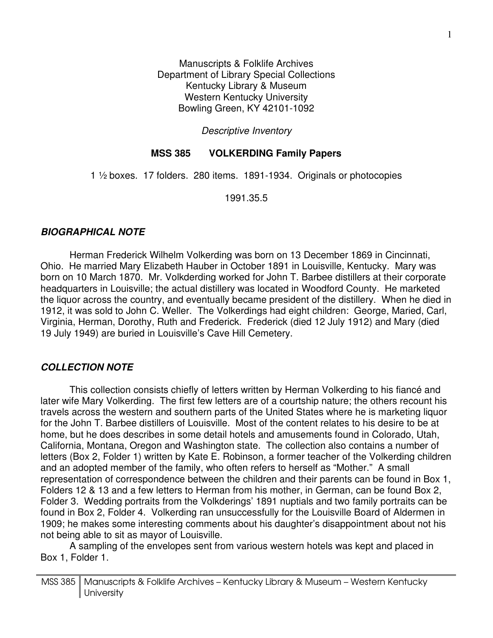Manuscripts & Folklife Archives Department of Library Special Collections Kentucky Library & Museum Western Kentucky University Bowling Green, KY 42101-1092

Descriptive Inventory

## **MSS 385 VOLKERDING Family Papers**

1 ½ boxes. 17 folders. 280 items. 1891-1934. Originals or photocopies

1991.35.5

## **BIOGRAPHICAL NOTE**

 Herman Frederick Wilhelm Volkerding was born on 13 December 1869 in Cincinnati, Ohio. He married Mary Elizabeth Hauber in October 1891 in Louisville, Kentucky. Mary was born on 10 March 1870. Mr. Volkderding worked for John T. Barbee distillers at their corporate headquarters in Louisville; the actual distillery was located in Woodford County. He marketed the liquor across the country, and eventually became president of the distillery. When he died in 1912, it was sold to John C. Weller. The Volkerdings had eight children: George, Maried, Carl, Virginia, Herman, Dorothy, Ruth and Frederick. Frederick (died 12 July 1912) and Mary (died 19 July 1949) are buried in Louisville's Cave Hill Cemetery.

## **COLLECTION NOTE**

 This collection consists chiefly of letters written by Herman Volkerding to his fiancé and later wife Mary Volkerding. The first few letters are of a courtship nature; the others recount his travels across the western and southern parts of the United States where he is marketing liquor for the John T. Barbee distillers of Louisville. Most of the content relates to his desire to be at home, but he does describes in some detail hotels and amusements found in Colorado, Utah, California, Montana, Oregon and Washington state. The collection also contains a number of letters (Box 2, Folder 1) written by Kate E. Robinson, a former teacher of the Volkerding children and an adopted member of the family, who often refers to herself as "Mother." A small representation of correspondence between the children and their parents can be found in Box 1, Folders 12 & 13 and a few letters to Herman from his mother, in German, can be found Box 2, Folder 3. Wedding portraits from the Volkderings' 1891 nuptials and two family portraits can be found in Box 2, Folder 4. Volkerding ran unsuccessfully for the Louisville Board of Aldermen in 1909; he makes some interesting comments about his daughter's disappointment about not his not being able to sit as mayor of Louisville.

A sampling of the envelopes sent from various western hotels was kept and placed in Box 1, Folder 1.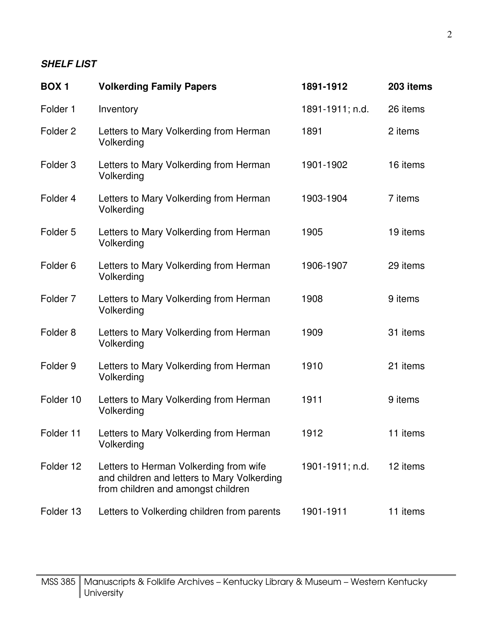# **SHELF LIST**

| <b>BOX1</b>         | <b>Volkerding Family Papers</b>                                                                                             | 1891-1912       | 203 items |
|---------------------|-----------------------------------------------------------------------------------------------------------------------------|-----------------|-----------|
| Folder 1            | Inventory                                                                                                                   | 1891-1911; n.d. | 26 items  |
| Folder <sub>2</sub> | Letters to Mary Volkerding from Herman<br>Volkerding                                                                        | 1891            | 2 items   |
| Folder <sub>3</sub> | Letters to Mary Volkerding from Herman<br>Volkerding                                                                        | 1901-1902       | 16 items  |
| Folder 4            | Letters to Mary Volkerding from Herman<br>Volkerding                                                                        | 1903-1904       | 7 items   |
| Folder 5            | Letters to Mary Volkerding from Herman<br>Volkerding                                                                        | 1905            | 19 items  |
| Folder <sub>6</sub> | Letters to Mary Volkerding from Herman<br>Volkerding                                                                        | 1906-1907       | 29 items  |
| Folder <sub>7</sub> | Letters to Mary Volkerding from Herman<br>Volkerding                                                                        | 1908            | 9 items   |
| Folder <sub>8</sub> | Letters to Mary Volkerding from Herman<br>Volkerding                                                                        | 1909            | 31 items  |
| Folder 9            | Letters to Mary Volkerding from Herman<br>Volkerding                                                                        | 1910            | 21 items  |
| Folder 10           | Letters to Mary Volkerding from Herman<br>Volkerding                                                                        | 1911            | 9 items   |
| Folder 11           | Letters to Mary Volkerding from Herman<br>Volkerding                                                                        | 1912            | 11 items  |
| Folder 12           | Letters to Herman Volkerding from wife<br>and children and letters to Mary Volkerding<br>from children and amongst children | 1901-1911; n.d. | 12 items  |
| Folder 13           | Letters to Volkerding children from parents                                                                                 | 1901-1911       | 11 items  |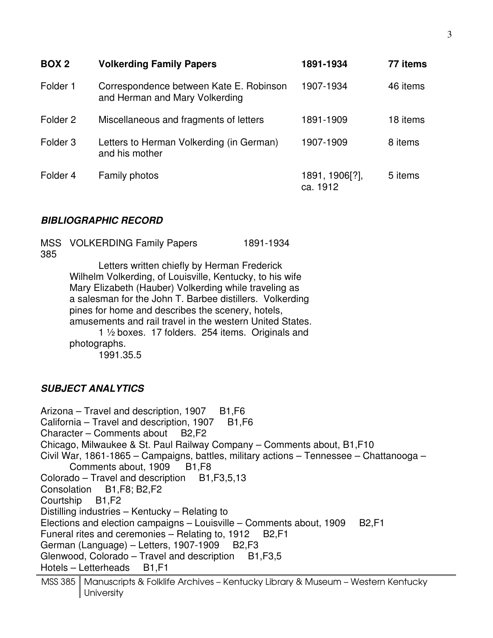| BOX <sub>2</sub>    | <b>Volkerding Family Papers</b>                                           | 1891-1934                  | 77 items |
|---------------------|---------------------------------------------------------------------------|----------------------------|----------|
| Folder 1            | Correspondence between Kate E. Robinson<br>and Herman and Mary Volkerding | 1907-1934                  | 46 items |
| Folder <sub>2</sub> | Miscellaneous and fragments of letters                                    | 1891-1909                  | 18 items |
| Folder <sub>3</sub> | Letters to Herman Volkerding (in German)<br>and his mother                | 1907-1909                  | 8 items  |
| Folder 4            | <b>Family photos</b>                                                      | 1891, 1906[?],<br>ca. 1912 | 5 items  |

#### **BIBLIOGRAPHIC RECORD**

| 385 | MSS VOLKERDING Family Papers                                                                                                                                                                                                                                                                                                                                                                                       | 1891-1934 |
|-----|--------------------------------------------------------------------------------------------------------------------------------------------------------------------------------------------------------------------------------------------------------------------------------------------------------------------------------------------------------------------------------------------------------------------|-----------|
|     | Letters written chiefly by Herman Frederick<br>Wilhelm Volkerding, of Louisville, Kentucky, to his wife<br>Mary Elizabeth (Hauber) Volkerding while traveling as<br>a salesman for the John T. Barbee distillers. Volkerding<br>pines for home and describes the scenery, hotels,<br>amusements and rail travel in the western United States.<br>1 1/2 boxes. 17 folders. 254 items. Originals and<br>photographs. |           |

1991.35.5

#### **SUBJECT ANALYTICS**

Arizona – Travel and description,  $1907$  B1, F6 California – Travel and description,  $1907 - B1$ , F6 Character – Comments about B2,F2 Chicago, Milwaukee & St. Paul Railway Company – Comments about, B1,F10 Civil War, 1861-1865 – Campaigns, battles, military actions – Tennessee – Chattanooga – Comments about, 1909 B1, F8 Colorado – Travel and description  $B1, F3,5,13$ Consolation B1,F8; B2,F2 Courtship B1,F2 Distilling industries – Kentucky – Relating to Elections and election campaigns – Louisville – Comments about, 1909 B2, F1 Funeral rites and ceremonies – Relating to, 1912 B2, F1 German (Language) – Letters, 1907-1909 B2, F3 Glenwood, Colorado – Travel and description B1, F3, 5 Hotels – Letterheads B1,F1

MSS 385 | Manuscripts & Folklife Archives – Kentucky Library & Museum – Western Kentucky University